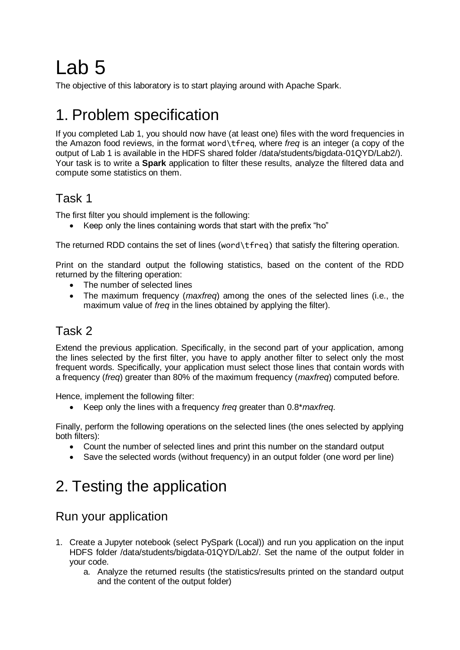# Lab 5

The objective of this laboratory is to start playing around with Apache Spark.

# 1. Problem specification

If you completed Lab 1, you should now have (at least one) files with the word frequencies in the Amazon food reviews, in the format word\tfreq, where *freq* is an integer (a copy of the output of Lab 1 is available in the HDFS shared folder /data/students/bigdata-01QYD/Lab2/). Your task is to write a **Spark** application to filter these results, analyze the filtered data and compute some statistics on them.

### Task 1

The first filter you should implement is the following:

• Keep only the lines containing words that start with the prefix "ho"

The returned RDD contains the set of lines (word\tfreq) that satisfy the filtering operation.

Print on the standard output the following statistics, based on the content of the RDD returned by the filtering operation:

- The number of selected lines
- The maximum frequency (*maxfreq*) among the ones of the selected lines (i.e., the maximum value of *freq* in the lines obtained by applying the filter).

#### Task 2

Extend the previous application. Specifically, in the second part of your application, among the lines selected by the first filter, you have to apply another filter to select only the most frequent words. Specifically, your application must select those lines that contain words with a frequency (*freq*) greater than 80% of the maximum frequency (*maxfreq*) computed before.

Hence, implement the following filter:

Keep only the lines with a frequency *freq* greater than 0.8\**maxfreq*.

Finally, perform the following operations on the selected lines (the ones selected by applying both filters):

- Count the number of selected lines and print this number on the standard output
- Save the selected words (without frequency) in an output folder (one word per line)

# 2. Testing the application

### Run your application

- 1. Create a Jupyter notebook (select PySpark (Local)) and run you application on the input HDFS folder /data/students/bigdata-01QYD/Lab2/. Set the name of the output folder in your code.
	- a. Analyze the returned results (the statistics/results printed on the standard output and the content of the output folder)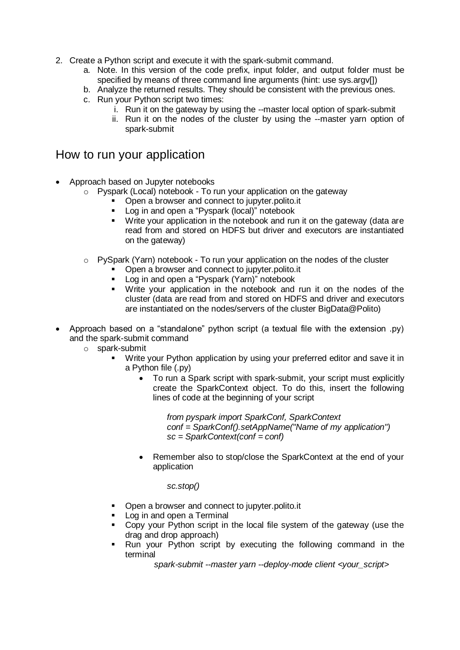- 2. Create a Python script and execute it with the spark-submit command.
	- a. Note. In this version of the code prefix, input folder, and output folder must be specified by means of three command line arguments (hint: use sys.argv[])
	- b. Analyze the returned results. They should be consistent with the previous ones.
	- c. Run your Python script two times:
		- i. Run it on the gateway by using the --master local option of spark-submit
		- ii. Run it on the nodes of the cluster by using the --master yarn option of spark-submit

#### How to run your application

- Approach based on Jupyter notebooks
	- o Pyspark (Local) notebook To run your application on the gateway
		- Open a browser and connect to jupyter.polito.it
		- **Log in and open a "Pyspark (local)" notebook**
		- Write your application in the notebook and run it on the gateway (data are read from and stored on HDFS but driver and executors are instantiated on the gateway)
	- $\circ$  PySpark (Yarn) notebook To run your application on the nodes of the cluster
		- **Open a browser and connect to jupyter.polito.it**
		- **Log in and open a "Pyspark (Yarn)" notebook**
		- Write your application in the notebook and run it on the nodes of the cluster (data are read from and stored on HDFS and driver and executors are instantiated on the nodes/servers of the cluster BigData@Polito)
- Approach based on a "standalone" python script (a textual file with the extension .py) and the spark-submit command
	- o spark-submit
		- Write your Python application by using your preferred editor and save it in a Python file (.py)
			- To run a Spark script with spark-submit, your script must explicitly create the SparkContext object. To do this, insert the following lines of code at the beginning of your script

*from pyspark import SparkConf, SparkContext conf = SparkConf().setAppName("Name of my application") sc = SparkContext(conf = conf)*

 Remember also to stop/close the SparkContext at the end of your application

#### *sc.stop()*

- Open a browser and connect to jupyter.polito.it
- Log in and open a Terminal
- Copy your Python script in the local file system of the gateway (use the drag and drop approach)
- Run your Python script by executing the following command in the terminal

*spark-submit --master yarn --deploy-mode client <your\_script>*